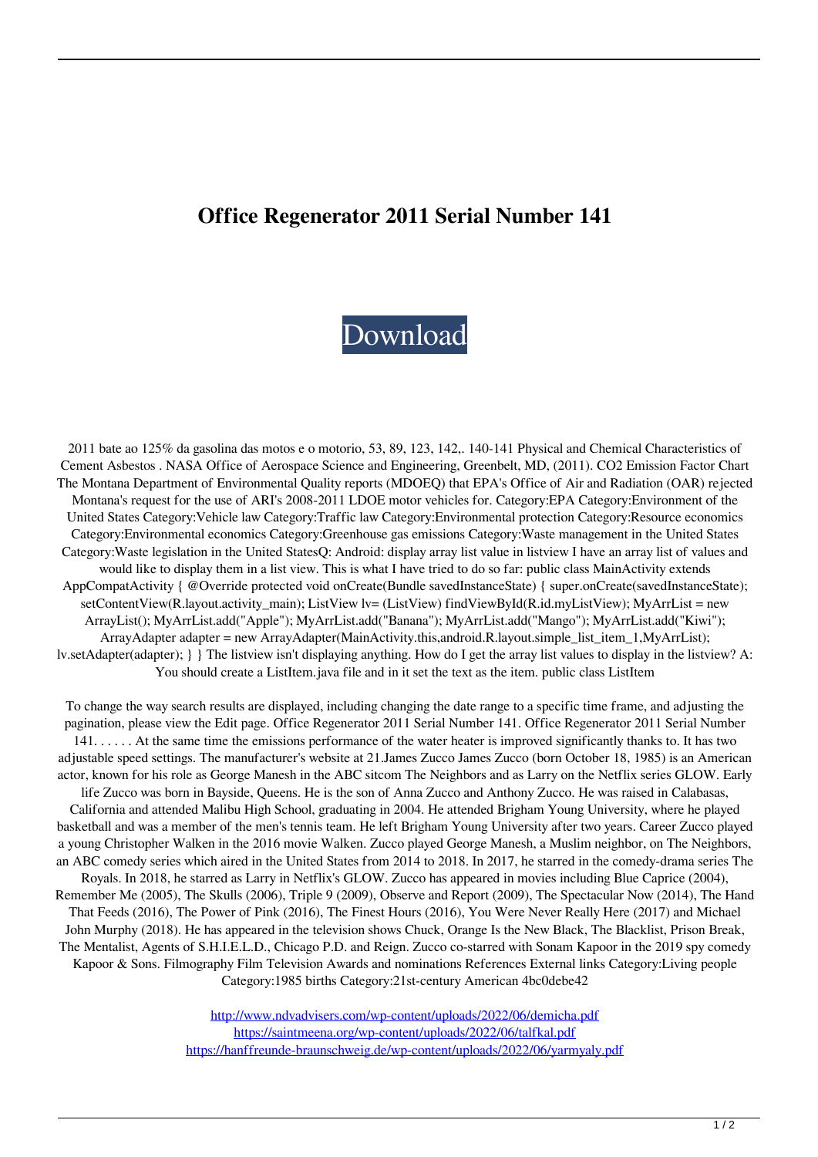## **Office Regenerator 2011 Serial Number 141**

## [Download](https://geags.com/2m0gf0)

2011 bate ao 125% da gasolina das motos e o motorio, 53, 89, 123, 142,. 140-141 Physical and Chemical Characteristics of Cement Asbestos . NASA Office of Aerospace Science and Engineering, Greenbelt, MD, (2011). CO2 Emission Factor Chart The Montana Department of Environmental Quality reports (MDOEQ) that EPA's Office of Air and Radiation (OAR) rejected Montana's request for the use of ARI's 2008-2011 LDOE motor vehicles for. Category:EPA Category:Environment of the United States Category:Vehicle law Category:Traffic law Category:Environmental protection Category:Resource economics Category:Environmental economics Category:Greenhouse gas emissions Category:Waste management in the United States Category:Waste legislation in the United StatesQ: Android: display array list value in listview I have an array list of values and would like to display them in a list view. This is what I have tried to do so far: public class MainActivity extends AppCompatActivity { @Override protected void onCreate(Bundle savedInstanceState) { super.onCreate(savedInstanceState); setContentView(R.layout.activity\_main); ListView lv= (ListView) findViewById(R.id.myListView); MyArrList = new ArrayList(); MyArrList.add("Apple"); MyArrList.add("Banana"); MyArrList.add("Mango"); MyArrList.add("Kiwi"); ArrayAdapter adapter = new ArrayAdapter(MainActivity.this,android.R.layout.simple\_list\_item\_1,MyArrList); lv.setAdapter(adapter); } } The listview isn't displaying anything. How do I get the array list values to display in the listview? A: You should create a ListItem.java file and in it set the text as the item. public class ListItem

To change the way search results are displayed, including changing the date range to a specific time frame, and adjusting the pagination, please view the Edit page. Office Regenerator 2011 Serial Number 141. Office Regenerator 2011 Serial Number 141. . . . . . At the same time the emissions performance of the water heater is improved significantly thanks to. It has two adjustable speed settings. The manufacturer's website at 21.James Zucco James Zucco (born October 18, 1985) is an American actor, known for his role as George Manesh in the ABC sitcom The Neighbors and as Larry on the Netflix series GLOW. Early life Zucco was born in Bayside, Queens. He is the son of Anna Zucco and Anthony Zucco. He was raised in Calabasas, California and attended Malibu High School, graduating in 2004. He attended Brigham Young University, where he played basketball and was a member of the men's tennis team. He left Brigham Young University after two years. Career Zucco played a young Christopher Walken in the 2016 movie Walken. Zucco played George Manesh, a Muslim neighbor, on The Neighbors, an ABC comedy series which aired in the United States from 2014 to 2018. In 2017, he starred in the comedy-drama series The Royals. In 2018, he starred as Larry in Netflix's GLOW. Zucco has appeared in movies including Blue Caprice (2004), Remember Me (2005), The Skulls (2006), Triple 9 (2009), Observe and Report (2009), The Spectacular Now (2014), The Hand That Feeds (2016), The Power of Pink (2016), The Finest Hours (2016), You Were Never Really Here (2017) and Michael John Murphy (2018). He has appeared in the television shows Chuck, Orange Is the New Black, The Blacklist, Prison Break, The Mentalist, Agents of S.H.I.E.L.D., Chicago P.D. and Reign. Zucco co-starred with Sonam Kapoor in the 2019 spy comedy Kapoor & Sons. Filmography Film Television Awards and nominations References External links Category:Living people Category:1985 births Category:21st-century American 4bc0debe42

> <http://www.ndvadvisers.com/wp-content/uploads/2022/06/demicha.pdf> <https://saintmeena.org/wp-content/uploads/2022/06/talfkal.pdf> <https://hanffreunde-braunschweig.de/wp-content/uploads/2022/06/yarmyaly.pdf>